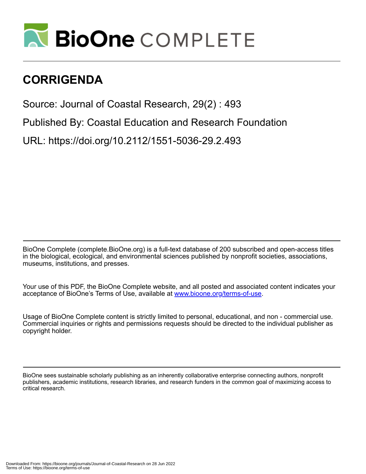

## **CORRIGENDA**

Source: Journal of Coastal Research, 29(2) : 493

Published By: Coastal Education and Research Foundation

URL: https://doi.org/10.2112/1551-5036-29.2.493

BioOne Complete (complete.BioOne.org) is a full-text database of 200 subscribed and open-access titles in the biological, ecological, and environmental sciences published by nonprofit societies, associations, museums, institutions, and presses.

Your use of this PDF, the BioOne Complete website, and all posted and associated content indicates your acceptance of BioOne's Terms of Use, available at www.bioone.org/terms-of-use.

Usage of BioOne Complete content is strictly limited to personal, educational, and non - commercial use. Commercial inquiries or rights and permissions requests should be directed to the individual publisher as copyright holder.

BioOne sees sustainable scholarly publishing as an inherently collaborative enterprise connecting authors, nonprofit publishers, academic institutions, research libraries, and research funders in the common goal of maximizing access to critical research.